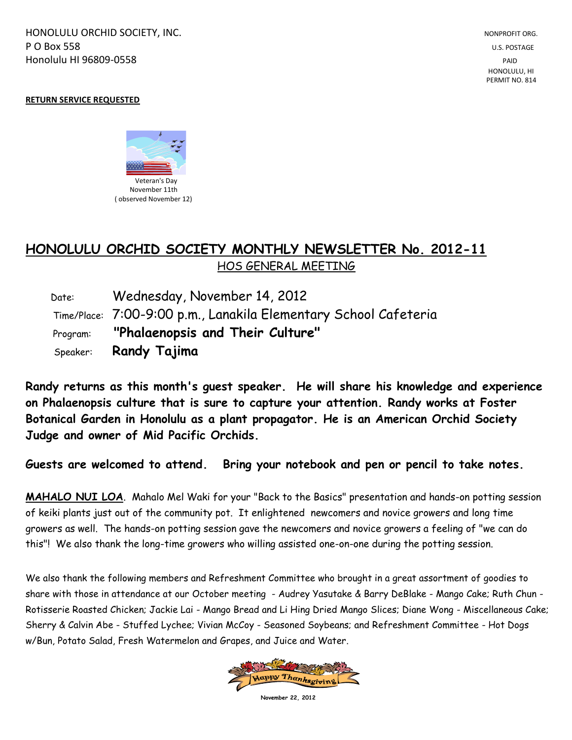HONOLULU ORCHID SOCIETY, INC. NONPROFIT ORG. NONPROFIT ORG. NONPROFIT ORG. **P O Box 558** U.S. POSTAGE Honolulu HI 96809-0558 PAID

## **RETURN SERVICE REQUESTED**



## **HONOLULU ORCHID SOCIETY MONTHLY NEWSLETTER No. 2012-11**  HOS GENERAL MEETING

 Date: Wednesday, November 14, 2012 Time/Place: 7:00-9:00 p.m., Lanakila Elementary School Cafeteria Program: **"Phalaenopsis and Their Culture"** Speaker: **Randy Tajima**

**Randy returns as this month's guest speaker. He will share his knowledge and experience on Phalaenopsis culture that is sure to capture your attention. Randy works at Foster Botanical Garden in Honolulu as a plant propagator. He is an American Orchid Society Judge and owner of Mid Pacific Orchids.**

**Guests are welcomed to attend. Bring your notebook and pen or pencil to take notes.**

**MAHALO NUI LOA**. Mahalo Mel Waki for your "Back to the Basics" presentation and hands-on potting session of keiki plants just out of the community pot. It enlightened newcomers and novice growers and long time growers as well. The hands-on potting session gave the newcomers and novice growers a feeling of "we can do this"! We also thank the long-time growers who willing assisted one-on-one during the potting session.

We also thank the following members and Refreshment Committee who brought in a great assortment of goodies to share with those in attendance at our October meeting - Audrey Yasutake & Barry DeBlake - Mango Cake; Ruth Chun - Rotisserie Roasted Chicken; Jackie Lai - Mango Bread and Li Hing Dried Mango Slices; Diane Wong - Miscellaneous Cake; Sherry & Calvin Abe - Stuffed Lychee; Vivian McCoy - Seasoned Soybeans; and Refreshment Committee - Hot Dogs w/Bun, Potato Salad, Fresh Watermelon and Grapes, and Juice and Water.



**November 22, 2012**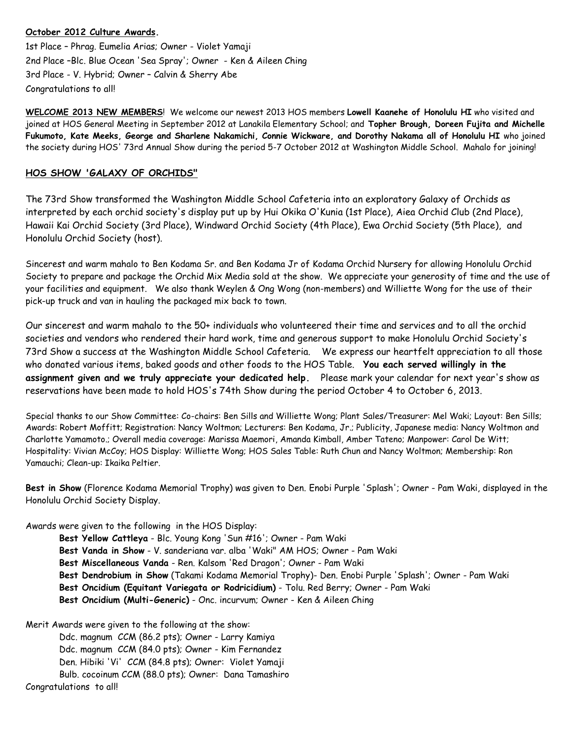## **October 2012 Culture Awards.**

1st Place – Phrag. Eumelia Arias; Owner - Violet Yamaji 2nd Place –Blc. Blue Ocean 'Sea Spray'; Owner - Ken & Aileen Ching 3rd Place - V. Hybrid; Owner – Calvin & Sherry Abe Congratulations to all!

**WELCOME 2013 NEW MEMBERS**! We welcome our newest 2013 HOS members **Lowell Kaanehe of Honolulu HI** who visited and joined at HOS General Meeting in September 2012 at Lanakila Elementary School; and **Topher Brough, Doreen Fujita and Michelle Fukumoto, Kate Meeks, George and Sharlene Nakamichi, Connie Wickware, and Dorothy Nakama all of Honolulu HI** who joined the society during HOS' 73rd Annual Show during the period 5-7 October 2012 at Washington Middle School. Mahalo for joining!

## **HOS SHOW 'GALAXY OF ORCHIDS"**

The 73rd Show transformed the Washington Middle School Cafeteria into an exploratory Galaxy of Orchids as interpreted by each orchid society's display put up by Hui Okika O'Kunia (1st Place), Aiea Orchid Club (2nd Place), Hawaii Kai Orchid Society (3rd Place), Windward Orchid Society (4th Place), Ewa Orchid Society (5th Place), and Honolulu Orchid Society (host).

Sincerest and warm mahalo to Ben Kodama Sr. and Ben Kodama Jr of Kodama Orchid Nursery for allowing Honolulu Orchid Society to prepare and package the Orchid Mix Media sold at the show. We appreciate your generosity of time and the use of your facilities and equipment. We also thank Weylen & Ong Wong (non-members) and Williette Wong for the use of their pick-up truck and van in hauling the packaged mix back to town.

Our sincerest and warm mahalo to the 50+ individuals who volunteered their time and services and to all the orchid societies and vendors who rendered their hard work, time and generous support to make Honolulu Orchid Society's 73rd Show a success at the Washington Middle School Cafeteria. We express our heartfelt appreciation to all those who donated various items, baked goods and other foods to the HOS Table. **You each served willingly in the assignment given and we truly appreciate your dedicated help.** Please mark your calendar for next year's show as reservations have been made to hold HOS's 74th Show during the period October 4 to October 6, 2013.

Special thanks to our Show Committee: Co-chairs: Ben Sills and Williette Wong; Plant Sales/Treasurer: Mel Waki; Layout: Ben Sills; Awards: Robert Moffitt; Registration: Nancy Woltmon; Lecturers: Ben Kodama, Jr.; Publicity, Japanese media: Nancy Woltmon and Charlotte Yamamoto.; Overall media coverage: Marissa Maemori, Amanda Kimball, Amber Tateno; Manpower: Carol De Witt; Hospitality: Vivian McCoy; HOS Display: Williette Wong; HOS Sales Table: Ruth Chun and Nancy Woltmon; Membership: Ron Yamauchi; Clean-up: Ikaika Peltier.

**Best in Show** (Florence Kodama Memorial Trophy) was given to Den. Enobi Purple 'Splash'; Owner - Pam Waki, displayed in the Honolulu Orchid Society Display.

Awards were given to the following in the HOS Display:

**Best Yellow Cattleya** - Blc. Young Kong 'Sun #16'; Owner - Pam Waki **Best Vanda in Show** - V. sanderiana var. alba 'Waki" AM HOS; Owner - Pam Waki **Best Miscellaneous Vanda** - Ren. Kalsom 'Red Dragon'; Owner - Pam Waki **Best Dendrobium in Show** (Takami Kodama Memorial Trophy)- Den. Enobi Purple 'Splash'; Owner - Pam Waki **Best Oncidium (Equitant Variegata or Rodricidium)** - Tolu. Red Berry; Owner - Pam Waki **Best Oncidium (Multi-Generic)** - Onc. incurvum; Owner - Ken & Aileen Ching

Merit Awards were given to the following at the show:

Ddc. magnum CCM (86.2 pts); Owner - Larry Kamiya Ddc. magnum CCM (84.0 pts); Owner - Kim Fernandez Den. Hibiki 'Vi' CCM (84.8 pts); Owner: Violet Yamaji Bulb. cocoinum CCM (88.0 pts); Owner: Dana Tamashiro

Congratulations to all!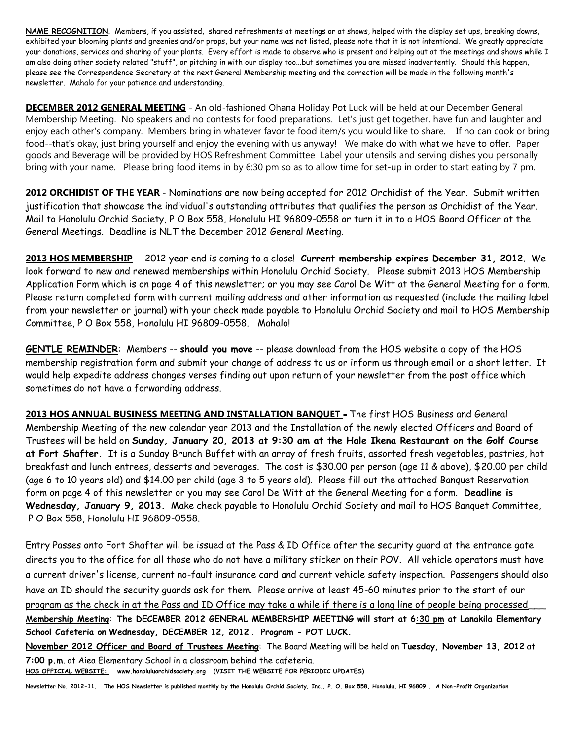**NAME RECOGNITION**. Members, if you assisted, shared refreshments at meetings or at shows, helped with the display set ups, breaking downs, exhibited your blooming plants and greenies and/or props, but your name was not listed, please note that it is not intentional. We greatly appreciate your donations, services and sharing of your plants. Every effort is made to observe who is present and helping out at the meetings and shows while I am also doing other society related "stuff", or pitching in with our display too...but sometimes you are missed inadvertently. Should this happen, please see the Correspondence Secretary at the next General Membership meeting and the correction will be made in the following month's newsletter. Mahalo for your patience and understanding.

**DECEMBER 2012 GENERAL MEETING** - An old-fashioned Ohana Holiday Pot Luck will be held at our December General Membership Meeting. No speakers and no contests for food preparations. Let's just get together, have fun and laughter and enjoy each other's company. Members bring in whatever favorite food item/s you would like to share. If no can cook or bring food--that's okay, just bring yourself and enjoy the evening with us anyway! We make do with what we have to offer. Paper goods and Beverage will be provided by HOS Refreshment Committee Label your utensils and serving dishes you personally bring with your name. Please bring food items in by 6:30 pm so as to allow time for set-up in order to start eating by 7 pm.

**2012 ORCHIDIST OF THE YEAR** - Nominations are now being accepted for 2012 Orchidist of the Year. Submit written justification that showcase the individual's outstanding attributes that qualifies the person as Orchidist of the Year. Mail to Honolulu Orchid Society, P O Box 558, Honolulu HI 96809-0558 or turn it in to a HOS Board Officer at the General Meetings. Deadline is NLT the December 2012 General Meeting.

**2013 HOS MEMBERSHIP** - 2012 year end is coming to a close! **Current membership expires December 31, 2012**. We look forward to new and renewed memberships within Honolulu Orchid Society. Please submit 2013 HOS Membership Application Form which is on page 4 of this newsletter; or you may see Carol De Witt at the General Meeting for a form. Please return completed form with current mailing address and other information as requested (include the mailing label from your newsletter or journal) with your check made payable to Honolulu Orchid Society and mail to HOS Membership Committee, P O Box 558, Honolulu HI 96809-0558. Mahalo!

**GENTLE REMINDER**: Members -- **should you move** -- please download from the HOS website a copy of the HOS membership registration form and submit your change of address to us or inform us through email or a short letter. It would help expedite address changes verses finding out upon return of your newsletter from the post office which sometimes do not have a forwarding address.

**2013 HOS ANNUAL BUSINESS MEETING AND INSTALLATION BANQUET -** The first HOS Business and General Membership Meeting of the new calendar year 2013 and the Installation of the newly elected Officers and Board of Trustees will be held on **Sunday, January 20, 2013 at 9:30 am at the Hale Ikena Restaurant on the Golf Course at Fort Shafter.** It is a Sunday Brunch Buffet with an array of fresh fruits, assorted fresh vegetables, pastries, hot breakfast and lunch entrees, desserts and beverages. The cost is \$30.00 per person (age 11 & above), \$20.00 per child (age 6 to 10 years old) and \$14.00 per child (age 3 to 5 years old). Please fill out the attached Banquet Reservation form on page 4 of this newsletter or you may see Carol De Witt at the General Meeting for a form. **Deadline is Wednesday, January 9, 2013.** Make check payable to Honolulu Orchid Society and mail to HOS Banquet Committee, P O Box 558, Honolulu HI 96809-0558.

Entry Passes onto Fort Shafter will be issued at the Pass & ID Office after the security guard at the entrance gate directs you to the office for all those who do not have a military sticker on their POV. All vehicle operators must have a current driver's license, current no-fault insurance card and current vehicle safety inspection. Passengers should also have an ID should the security guards ask for them. Please arrive at least 45-60 minutes prior to the start of our program as the check in at the Pass and ID Office may take a while if there is a long line of people being processed M**embership Meeting**: **The DECEMBER 2012 GENERAL MEMBERSHIP MEETING will start at 6:30 pm at Lanakila Elementary** 

**School Cafeteria on Wednesday, DECEMBER 12, 2012** . **Program - POT LUCK.**

**November 2012 Officer and Board of Trustees Meeting**: The Board Meeting will be held on **Tuesday, November 13, 2012** at **7:00 p.m**. at Aiea Elementary School in a classroom behind the cafeteria.

**HOS OFFICIAL WEBSITE: www.honoluluorchidsociety.org (VISIT THE WEBSITE FOR PERIODIC UPDATES)**